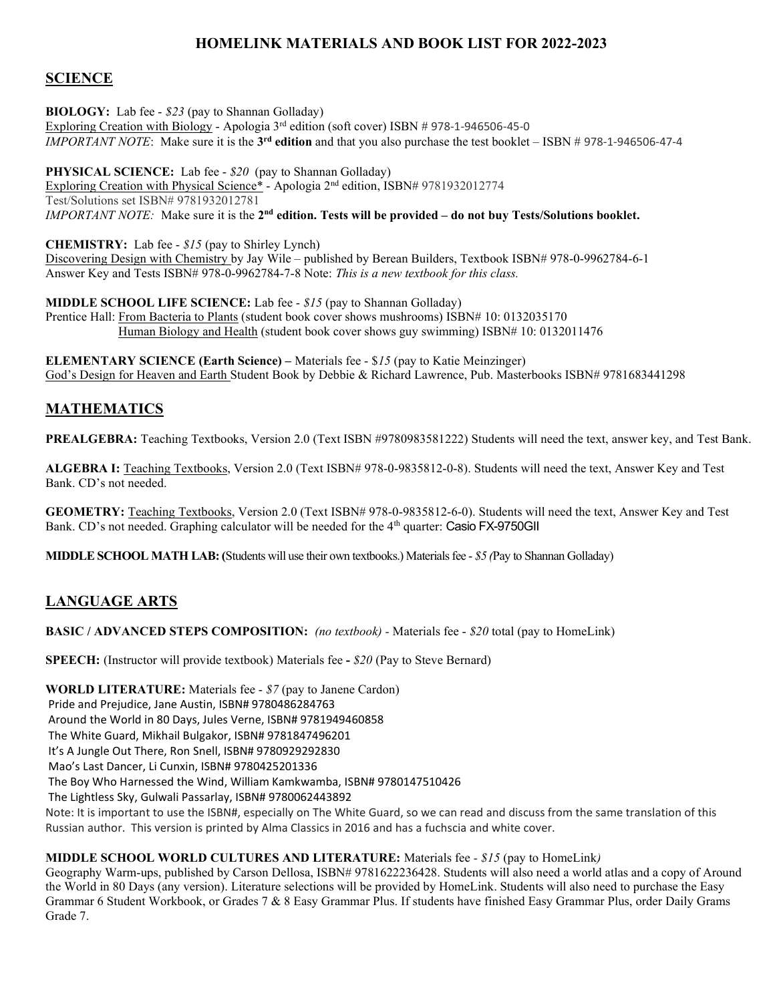# HOMELINK MATERIALS AND BOOK LIST FOR 2022-2023

### **SCIENCE**

BIOLOGY: Lab fee - \$23 (pay to Shannan Golladay) Exploring Creation with Biology - Apologia 3<sup>rd</sup> edition (soft cover) ISBN # 978-1-946506-45-0 IMPORTANT NOTE: Make sure it is the  $3^{rd}$  edition and that you also purchase the test booklet – ISBN # 978-1-946506-47-4

PHYSICAL SCIENCE: Lab fee - \$20 (pay to Shannan Golladay) Exploring Creation with Physical Science\* - Apologia 2nd edition, ISBN# 9781932012774 Test/Solutions set ISBN# 9781932012781 IMPORTANT NOTE: Make sure it is the  $2^{nd}$  edition. Tests will be provided – do not buy Tests/Solutions booklet.

CHEMISTRY: Lab fee - \$15 (pay to Shirley Lynch) Discovering Design with Chemistry by Jay Wile – published by Berean Builders, Textbook ISBN# 978-0-9962784-6-1 Answer Key and Tests ISBN# 978-0-9962784-7-8 Note: This is a new textbook for this class.

MIDDLE SCHOOL LIFE SCIENCE: Lab fee - \$15 (pay to Shannan Golladay) Prentice Hall: From Bacteria to Plants (student book cover shows mushrooms) ISBN# 10: 0132035170 Human Biology and Health (student book cover shows guy swimming) ISBN# 10: 0132011476

ELEMENTARY SCIENCE (Earth Science) – Materials fee - \$15 (pay to Katie Meinzinger) God's Design for Heaven and Earth Student Book by Debbie & Richard Lawrence, Pub. Masterbooks ISBN# 9781683441298

## MATHEMATICS

PREALGEBRA: Teaching Textbooks, Version 2.0 (Text ISBN #9780983581222) Students will need the text, answer key, and Test Bank.

ALGEBRA I: Teaching Textbooks, Version 2.0 (Text ISBN# 978-0-9835812-0-8). Students will need the text, Answer Key and Test Bank. CD's not needed.

GEOMETRY: Teaching Textbooks, Version 2.0 (Text ISBN# 978-0-9835812-6-0). Students will need the text, Answer Key and Test Bank. CD's not needed. Graphing calculator will be needed for the 4<sup>th</sup> quarter: Casio FX-9750GII

MIDDLE SCHOOL MATH LAB: (Students will use their own textbooks.) Materials fee - \$5 (Pay to Shannan Golladay)

### LANGUAGE ARTS

BASIC / ADVANCED STEPS COMPOSITION: (no textbook) - Materials fee - \$20 total (pay to HomeLink)

SPEECH: (Instructor will provide textbook) Materials fee - \$20 (Pay to Steve Bernard)

WORLD LITERATURE: Materials fee - \$7 (pay to Janene Cardon) Pride and Prejudice, Jane Austin, ISBN# 9780486284763 Around the World in 80 Days, Jules Verne, ISBN# 9781949460858 The White Guard, Mikhail Bulgakor, ISBN# 9781847496201 It's A Jungle Out There, Ron Snell, ISBN# 9780929292830 Mao's Last Dancer, Li Cunxin, ISBN# 9780425201336 The Boy Who Harnessed the Wind, William Kamkwamba, ISBN# 9780147510426 The Lightless Sky, Gulwali Passarlay, ISBN# 9780062443892 Note: It is important to use the ISBN#, especially on The White Guard, so we can read and discuss from the same translation of this Russian author. This version is printed by Alma Classics in 2016 and has a fuchscia and white cover.

#### MIDDLE SCHOOL WORLD CULTURES AND LITERATURE: Materials fee - \$15 (pay to HomeLink)

Geography Warm-ups, published by Carson Dellosa, ISBN# 9781622236428. Students will also need a world atlas and a copy of Around the World in 80 Days (any version). Literature selections will be provided by HomeLink. Students will also need to purchase the Easy Grammar 6 Student Workbook, or Grades 7 & 8 Easy Grammar Plus. If students have finished Easy Grammar Plus, order Daily Grams Grade 7.